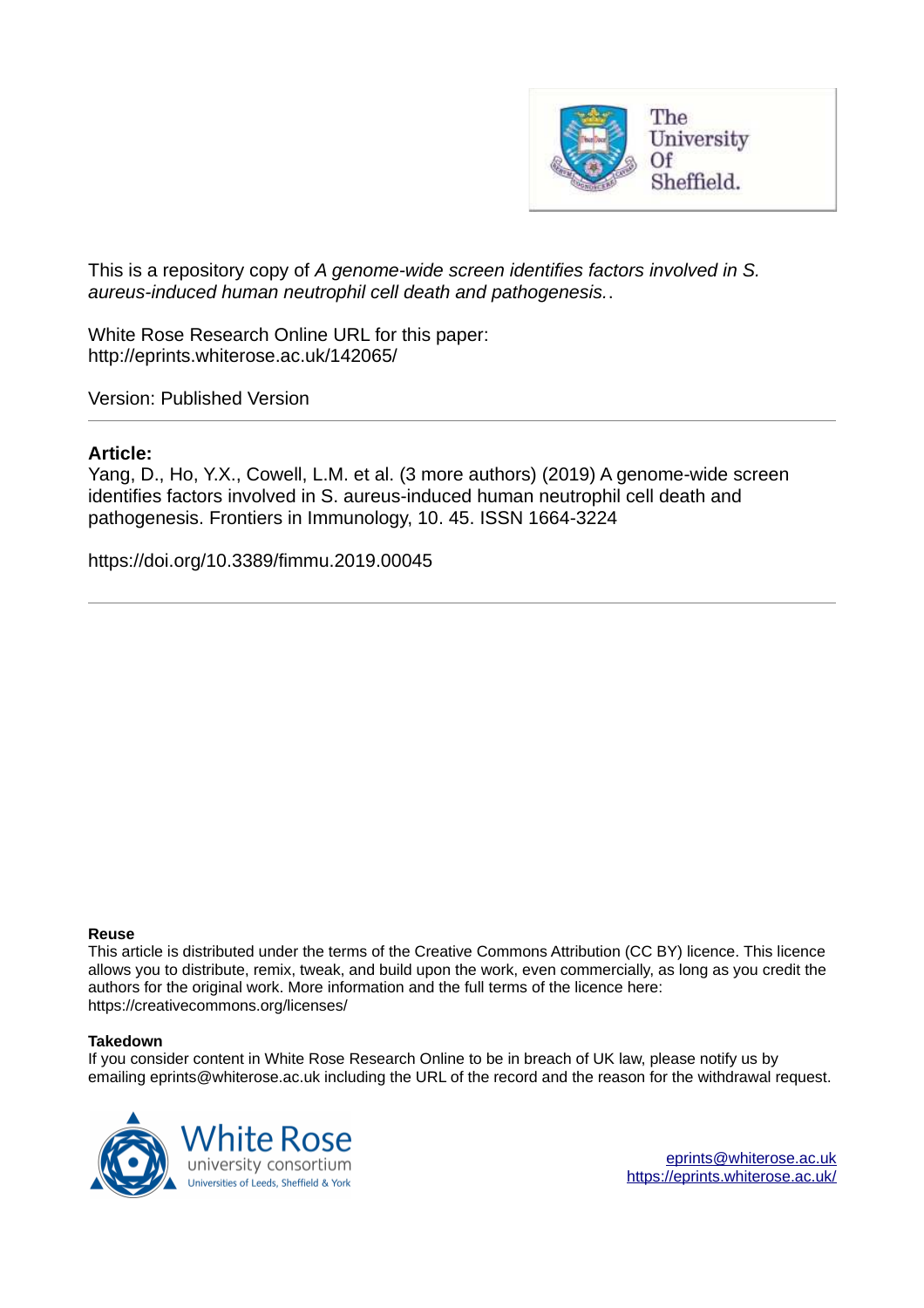

This is a repository copy of *A genome-wide screen identifies factors involved in S. aureus-induced human neutrophil cell death and pathogenesis.*.

White Rose Research Online URL for this paper: http://eprints.whiterose.ac.uk/142065/

Version: Published Version

#### **Article:**

Yang, D., Ho, Y.X., Cowell, L.M. et al. (3 more authors) (2019) A genome-wide screen identifies factors involved in S. aureus-induced human neutrophil cell death and pathogenesis. Frontiers in Immunology, 10. 45. ISSN 1664-3224

https://doi.org/10.3389/fimmu.2019.00045

#### **Reuse**

This article is distributed under the terms of the Creative Commons Attribution (CC BY) licence. This licence allows you to distribute, remix, tweak, and build upon the work, even commercially, as long as you credit the authors for the original work. More information and the full terms of the licence here: https://creativecommons.org/licenses/

#### **Takedown**

If you consider content in White Rose Research Online to be in breach of UK law, please notify us by emailing eprints@whiterose.ac.uk including the URL of the record and the reason for the withdrawal request.



[eprints@whiterose.ac.uk](mailto:eprints@whiterose.ac.uk) <https://eprints.whiterose.ac.uk/>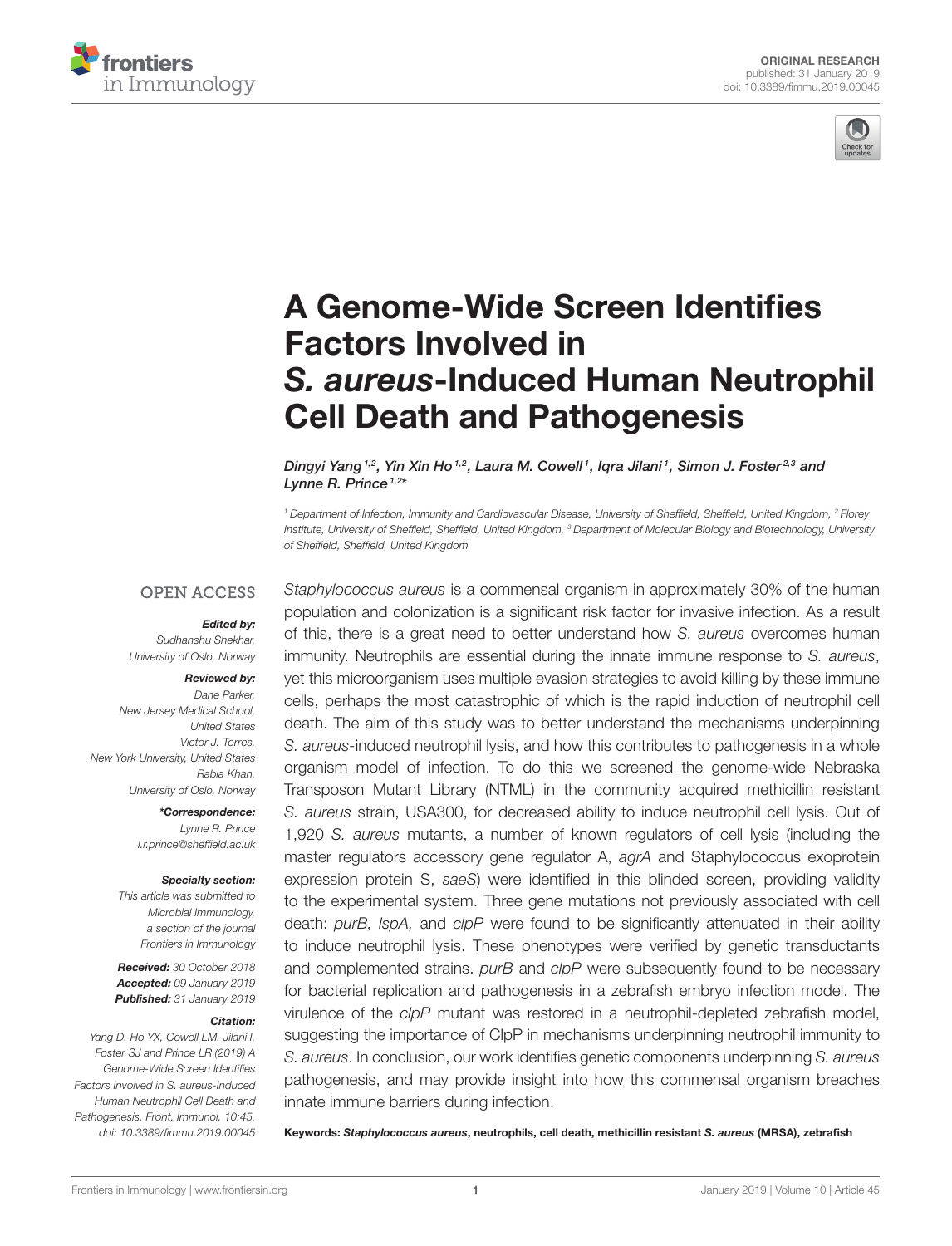



# [A Genome-Wide Screen Identifies](https://www.frontiersin.org/articles/10.3389/fimmu.2019.00045/full) Factors Involved in *S. aureus*-Induced Human Neutrophil Cell Death and Pathogenesis

Dingyi Yang <sup>1,2</sup>, [Yin Xin Ho](http://loop.frontiersin.org/people/676430/overview) <sup>1,2</sup>, [Laura M. Cowell](http://loop.frontiersin.org/people/636529/overview) <sup>1</sup>, [Iqra Jilani](http://loop.frontiersin.org/people/635984/overview) <sup>1</sup>, Simon J. Foster 2,3 and [Lynne R. Prince](http://loop.frontiersin.org/people/469979/overview) <sup>1,2</sup>\*

*<sup>1</sup> Department of Infection, Immunity and Cardiovascular Disease, University of Sheffield, Sheffield, United Kingdom, <sup>2</sup> Florey Institute, University of Sheffield, Sheffield, United Kingdom, <sup>3</sup> Department of Molecular Biology and Biotechnology, University of Sheffield, Sheffield, United Kingdom*

#### **OPEN ACCESS**

#### *Edited by:*

*Sudhanshu Shekhar, University of Oslo, Norway*

#### *Reviewed by:*

*Dane Parker, New Jersey Medical School, United States Victor J. Torres, New York University, United States Rabia Khan, University of Oslo, Norway*

> *\*Correspondence: Lynne R. Prince [l.r.prince@sheffield.ac.uk](mailto:l.r.prince@sheffield.ac.uk)*

#### *Specialty section:*

*This article was submitted to Microbial Immunology, a section of the journal Frontiers in Immunology*

*Received: 30 October 2018 Accepted: 09 January 2019 Published: 31 January 2019*

#### *Citation:*

*Yang D, Ho YX, Cowell LM, Jilani I, Foster SJ and Prince LR (2019) A Genome-Wide Screen Identifies Factors Involved in S. aureus-Induced Human Neutrophil Cell Death and Pathogenesis. Front. Immunol. 10:45. doi: [10.3389/fimmu.2019.00045](https://doi.org/10.3389/fimmu.2019.00045)*

*Staphylococcus aureus* is a commensal organism in approximately 30% of the human population and colonization is a significant risk factor for invasive infection. As a result of this, there is a great need to better understand how *S. aureus* overcomes human immunity. Neutrophils are essential during the innate immune response to *S. aureus*, yet this microorganism uses multiple evasion strategies to avoid killing by these immune cells, perhaps the most catastrophic of which is the rapid induction of neutrophil cell death. The aim of this study was to better understand the mechanisms underpinning *S. aureus-*induced neutrophil lysis, and how this contributes to pathogenesis in a whole organism model of infection. To do this we screened the genome-wide Nebraska Transposon Mutant Library (NTML) in the community acquired methicillin resistant *S. aureus* strain, USA300, for decreased ability to induce neutrophil cell lysis. Out of 1,920 *S. aureus* mutants, a number of known regulators of cell lysis (including the master regulators accessory gene regulator A, *agrA* and Staphylococcus exoprotein expression protein S, *saeS*) were identified in this blinded screen, providing validity to the experimental system. Three gene mutations not previously associated with cell death: *purB, lspA,* and *clpP* were found to be significantly attenuated in their ability to induce neutrophil lysis. These phenotypes were verified by genetic transductants and complemented strains. *purB* and *clpP* were subsequently found to be necessary for bacterial replication and pathogenesis in a zebrafish embryo infection model. The virulence of the *clpP* mutant was restored in a neutrophil-depleted zebrafish model, suggesting the importance of ClpP in mechanisms underpinning neutrophil immunity to *S. aureus*. In conclusion, our work identifies genetic components underpinning *S. aureus* pathogenesis, and may provide insight into how this commensal organism breaches innate immune barriers during infection.

Keywords: *Staphylococcus aureus*, neutrophils, cell death, methicillin resistant *S. aureus* (MRSA), zebrafish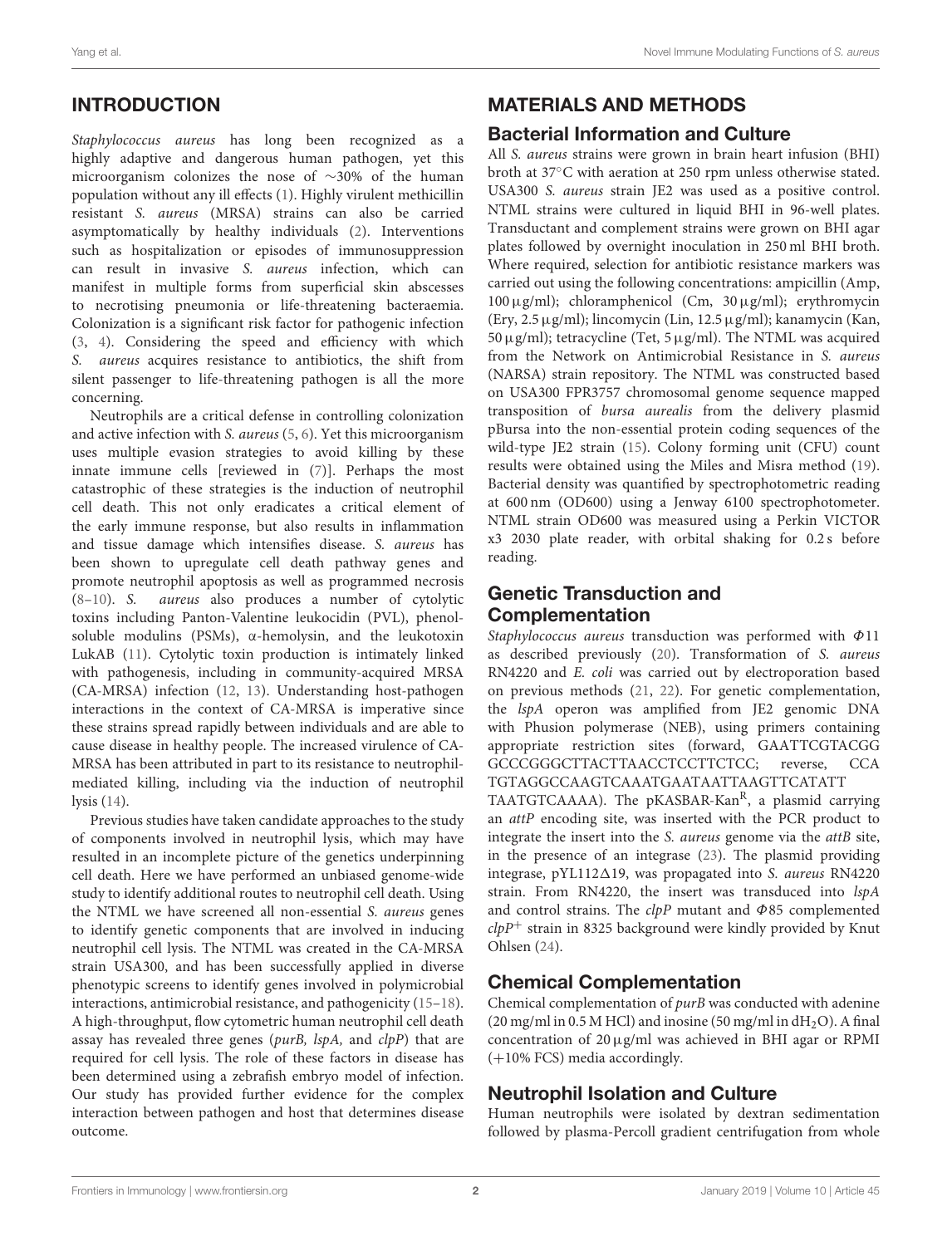# INTRODUCTION

Staphylococcus aureus has long been recognized as a highly adaptive and dangerous human pathogen, yet this microorganism colonizes the nose of ∼30% of the human population without any ill effects [\(1\)](#page-9-0). Highly virulent methicillin resistant S. aureus (MRSA) strains can also be carried asymptomatically by healthy individuals [\(2\)](#page-9-1). Interventions such as hospitalization or episodes of immunosuppression can result in invasive S. aureus infection, which can manifest in multiple forms from superficial skin abscesses to necrotising pneumonia or life-threatening bacteraemia. Colonization is a significant risk factor for pathogenic infection [\(3,](#page-9-2) [4\)](#page-9-3). Considering the speed and efficiency with which S. aureus acquires resistance to antibiotics, the shift from silent passenger to life-threatening pathogen is all the more concerning.

Neutrophils are a critical defense in controlling colonization and active infection with S. aureus [\(5,](#page-9-4) [6\)](#page-9-5). Yet this microorganism uses multiple evasion strategies to avoid killing by these innate immune cells [reviewed in [\(7\)](#page-9-6)]. Perhaps the most catastrophic of these strategies is the induction of neutrophil cell death. This not only eradicates a critical element of the early immune response, but also results in inflammation and tissue damage which intensifies disease. S. aureus has been shown to upregulate cell death pathway genes and promote neutrophil apoptosis as well as programmed necrosis [\(8–](#page-9-7)[10\)](#page-9-8). S. aureus also produces a number of cytolytic toxins including Panton-Valentine leukocidin (PVL), phenolsoluble modulins (PSMs), α-hemolysin, and the leukotoxin LukAB [\(11\)](#page-9-9). Cytolytic toxin production is intimately linked with pathogenesis, including in community-acquired MRSA (CA-MRSA) infection [\(12,](#page-9-10) [13\)](#page-9-11). Understanding host-pathogen interactions in the context of CA-MRSA is imperative since these strains spread rapidly between individuals and are able to cause disease in healthy people. The increased virulence of CA-MRSA has been attributed in part to its resistance to neutrophilmediated killing, including via the induction of neutrophil lysis [\(14\)](#page-9-12).

Previous studies have taken candidate approaches to the study of components involved in neutrophil lysis, which may have resulted in an incomplete picture of the genetics underpinning cell death. Here we have performed an unbiased genome-wide study to identify additional routes to neutrophil cell death. Using the NTML we have screened all non-essential S. aureus genes to identify genetic components that are involved in inducing neutrophil cell lysis. The NTML was created in the CA-MRSA strain USA300, and has been successfully applied in diverse phenotypic screens to identify genes involved in polymicrobial interactions, antimicrobial resistance, and pathogenicity [\(15–](#page-9-13)[18\)](#page-9-14). A high-throughput, flow cytometric human neutrophil cell death assay has revealed three genes (purB, lspA, and clpP) that are required for cell lysis. The role of these factors in disease has been determined using a zebrafish embryo model of infection. Our study has provided further evidence for the complex interaction between pathogen and host that determines disease outcome.

# MATERIALS AND METHODS

#### Bacterial Information and Culture

All S. aureus strains were grown in brain heart infusion (BHI) broth at 37◦C with aeration at 250 rpm unless otherwise stated. USA300 S. aureus strain JE2 was used as a positive control. NTML strains were cultured in liquid BHI in 96-well plates. Transductant and complement strains were grown on BHI agar plates followed by overnight inoculation in 250 ml BHI broth. Where required, selection for antibiotic resistance markers was carried out using the following concentrations: ampicillin (Amp,  $100 \mu$ g/ml); chloramphenicol (Cm,  $30 \mu$ g/ml); erythromycin (Ery, 2.5µg/ml); lincomycin (Lin, 12.5µg/ml); kanamycin (Kan, 50  $\mu$ g/ml); tetracycline (Tet, 5  $\mu$ g/ml). The NTML was acquired from the Network on Antimicrobial Resistance in S. aureus (NARSA) strain repository. The NTML was constructed based on USA300 FPR3757 chromosomal genome sequence mapped transposition of bursa aurealis from the delivery plasmid pBursa into the non-essential protein coding sequences of the wild-type JE2 strain [\(15\)](#page-9-13). Colony forming unit (CFU) count results were obtained using the Miles and Misra method [\(19\)](#page-9-15). Bacterial density was quantified by spectrophotometric reading at 600 nm (OD600) using a Jenway 6100 spectrophotometer. NTML strain OD600 was measured using a Perkin VICTOR x3 2030 plate reader, with orbital shaking for 0.2 s before reading.

## Genetic Transduction and Complementation

Staphylococcus aureus transduction was performed with Φ11 as described previously [\(20\)](#page-9-16). Transformation of S. aureus RN4220 and E. coli was carried out by electroporation based on previous methods [\(21,](#page-9-17) [22\)](#page-9-18). For genetic complementation, the lspA operon was amplified from JE2 genomic DNA with Phusion polymerase (NEB), using primers containing appropriate restriction sites (forward, GAATTCGTACGG GCCCGGGCTTACTTAACCTCCTTCTCC; reverse, CCA TGTAGGCCAAGTCAAATGAATAATTAAGTTCATATT TAATGTCAAAA). The pKASBAR-Kan<sup>R</sup>, a plasmid carrying an attP encoding site, was inserted with the PCR product to integrate the insert into the S. aureus genome via the attB site, in the presence of an integrase [\(23\)](#page-9-19). The plasmid providing integrase, pYL112 $\Delta$ 19, was propagated into S. aureus RN4220 strain. From RN4220, the insert was transduced into  $IspA$ and control strains. The  $clpP$  mutant and  $\Phi$ 85 complemented  $clpP^+$  strain in 8325 background were kindly provided by Knut Ohlsen [\(24\)](#page-9-20).

## Chemical Complementation

Chemical complementation of purB was conducted with adenine (20 mg/ml in 0.5 M HCl) and inosine (50 mg/ml in  $dH_2O$ ). A final concentration of  $20 \mu$ g/ml was achieved in BHI agar or RPMI (+10% FCS) media accordingly.

## Neutrophil Isolation and Culture

Human neutrophils were isolated by dextran sedimentation followed by plasma-Percoll gradient centrifugation from whole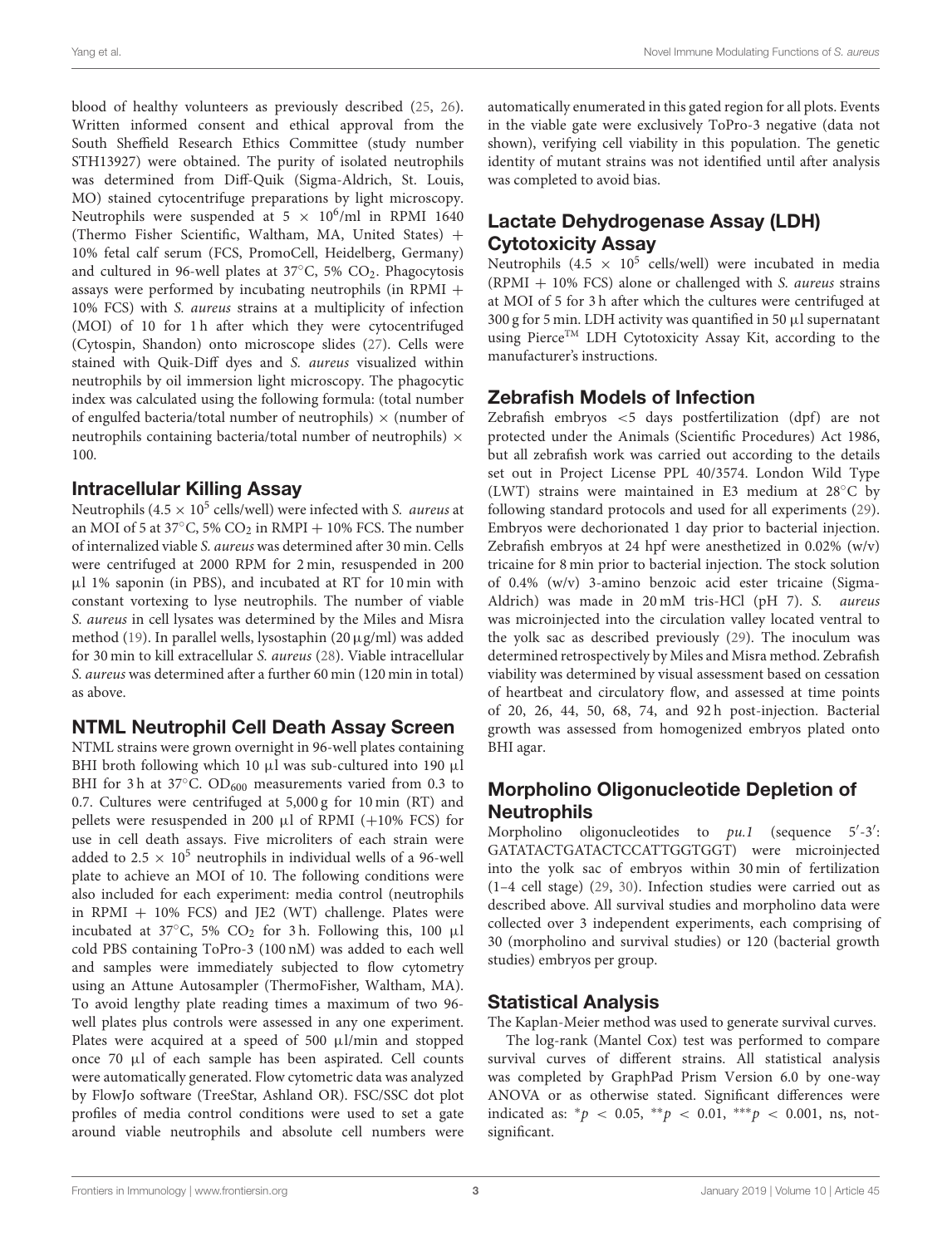blood of healthy volunteers as previously described [\(25,](#page-9-21) [26\)](#page-9-22). Written informed consent and ethical approval from the South Sheffield Research Ethics Committee (study number STH13927) were obtained. The purity of isolated neutrophils was determined from Diff-Quik (Sigma-Aldrich, St. Louis, MO) stained cytocentrifuge preparations by light microscopy. Neutrophils were suspended at  $5 \times 10^6/\text{ml}$  in RPMI 1640 (Thermo Fisher Scientific, Waltham, MA, United States) + 10% fetal calf serum (FCS, PromoCell, Heidelberg, Germany) and cultured in 96-well plates at  $37^{\circ}$ C, 5% CO<sub>2</sub>. Phagocytosis assays were performed by incubating neutrophils (in RPMI + 10% FCS) with S. aureus strains at a multiplicity of infection (MOI) of 10 for 1h after which they were cytocentrifuged (Cytospin, Shandon) onto microscope slides [\(27\)](#page-9-23). Cells were stained with Quik-Diff dyes and S. aureus visualized within neutrophils by oil immersion light microscopy. The phagocytic index was calculated using the following formula: (total number of engulfed bacteria/total number of neutrophils)  $\times$  (number of neutrophils containing bacteria/total number of neutrophils)  $\times$ 100.

#### Intracellular Killing Assay

Neutrophils (4.5  $\times$  10<sup>5</sup> cells/well) were infected with S. *aureus* at an MOI of 5 at 37 $\degree$ C, 5% CO<sub>2</sub> in RMPI + 10% FCS. The number of internalized viable S. aureus was determined after 30 min. Cells were centrifuged at 2000 RPM for 2 min, resuspended in 200 µl 1% saponin (in PBS), and incubated at RT for 10 min with constant vortexing to lyse neutrophils. The number of viable S. aureus in cell lysates was determined by the Miles and Misra method [\(19\)](#page-9-15). In parallel wells, lysostaphin (20µg/ml) was added for 30 min to kill extracellular S. aureus [\(28\)](#page-9-24). Viable intracellular S. aureus was determined after a further 60 min (120 min in total) as above.

#### NTML Neutrophil Cell Death Assay Screen

<span id="page-3-0"></span>NTML strains were grown overnight in 96-well plates containing BHI broth following which 10  $\mu$ l was sub-cultured into 190  $\mu$ l BHI for 3 h at 37 $\degree$ C. OD<sub>600</sub> measurements varied from 0.3 to 0.7. Cultures were centrifuged at 5,000 g for 10 min (RT) and pellets were resuspended in 200  $\mu$ l of RPMI (+10% FCS) for use in cell death assays. Five microliters of each strain were added to 2.5  $\times$  10<sup>5</sup> neutrophils in individual wells of a 96-well plate to achieve an MOI of 10. The following conditions were also included for each experiment: media control (neutrophils in RPMI  $+$  10% FCS) and JE2 (WT) challenge. Plates were incubated at 37 $\degree$ C, 5% CO<sub>2</sub> for 3h. Following this, 100 µl cold PBS containing ToPro-3 (100 nM) was added to each well and samples were immediately subjected to flow cytometry using an Attune Autosampler (ThermoFisher, Waltham, MA). To avoid lengthy plate reading times a maximum of two 96 well plates plus controls were assessed in any one experiment. Plates were acquired at a speed of 500 µl/min and stopped once 70 µl of each sample has been aspirated. Cell counts were automatically generated. Flow cytometric data was analyzed by FlowJo software (TreeStar, Ashland OR). FSC/SSC dot plot profiles of media control conditions were used to set a gate around viable neutrophils and absolute cell numbers were automatically enumerated in this gated region for all plots. Events in the viable gate were exclusively ToPro-3 negative (data not shown), verifying cell viability in this population. The genetic identity of mutant strains was not identified until after analysis was completed to avoid bias.

#### Lactate Dehydrogenase Assay (LDH) Cytotoxicity Assay

Neutrophils (4.5  $\times$  10<sup>5</sup> cells/well) were incubated in media  $(RPMI + 10\% FCS)$  alone or challenged with S. *aureus* strains at MOI of 5 for 3 h after which the cultures were centrifuged at 300 g for 5 min. LDH activity was quantified in 50  $\mu$ l supernatant using Pierce<sup>TM</sup> LDH Cytotoxicity Assay Kit, according to the manufacturer's instructions.

## Zebrafish Models of Infection

Zebrafish embryos <5 days postfertilization (dpf) are not protected under the Animals (Scientific Procedures) Act 1986, but all zebrafish work was carried out according to the details set out in Project License PPL 40/3574. London Wild Type (LWT) strains were maintained in E3 medium at 28◦C by following standard protocols and used for all experiments [\(29\)](#page-9-25). Embryos were dechorionated 1 day prior to bacterial injection. Zebrafish embryos at 24 hpf were anesthetized in 0.02% (w/v) tricaine for 8 min prior to bacterial injection. The stock solution of 0.4% (w/v) 3-amino benzoic acid ester tricaine (Sigma-Aldrich) was made in 20 mM tris-HCl (pH 7). S. aureus was microinjected into the circulation valley located ventral to the yolk sac as described previously [\(29\)](#page-9-25). The inoculum was determined retrospectively by Miles and Misra method. Zebrafish viability was determined by visual assessment based on cessation of heartbeat and circulatory flow, and assessed at time points of 20, 26, 44, 50, 68, 74, and 92 h post-injection. Bacterial growth was assessed from homogenized embryos plated onto BHI agar.

# Morpholino Oligonucleotide Depletion of **Neutrophils**

Morpholino oligonucleotides to  $pu.1$  (sequence  $5'-3'$ : GATATACTGATACTCCATTGGTGGT) were microinjected into the yolk sac of embryos within 30 min of fertilization (1–4 cell stage) [\(29,](#page-9-25) [30\)](#page-10-0). Infection studies were carried out as described above. All survival studies and morpholino data were collected over 3 independent experiments, each comprising of 30 (morpholino and survival studies) or 120 (bacterial growth studies) embryos per group.

## Statistical Analysis

The Kaplan-Meier method was used to generate survival curves.

The log-rank (Mantel Cox) test was performed to compare survival curves of different strains. All statistical analysis was completed by GraphPad Prism Version 6.0 by one-way ANOVA or as otherwise stated. Significant differences were indicated as: \* $p < 0.05$ , \*\* $p < 0.01$ , \*\*\* $p < 0.001$ , ns, notsignificant.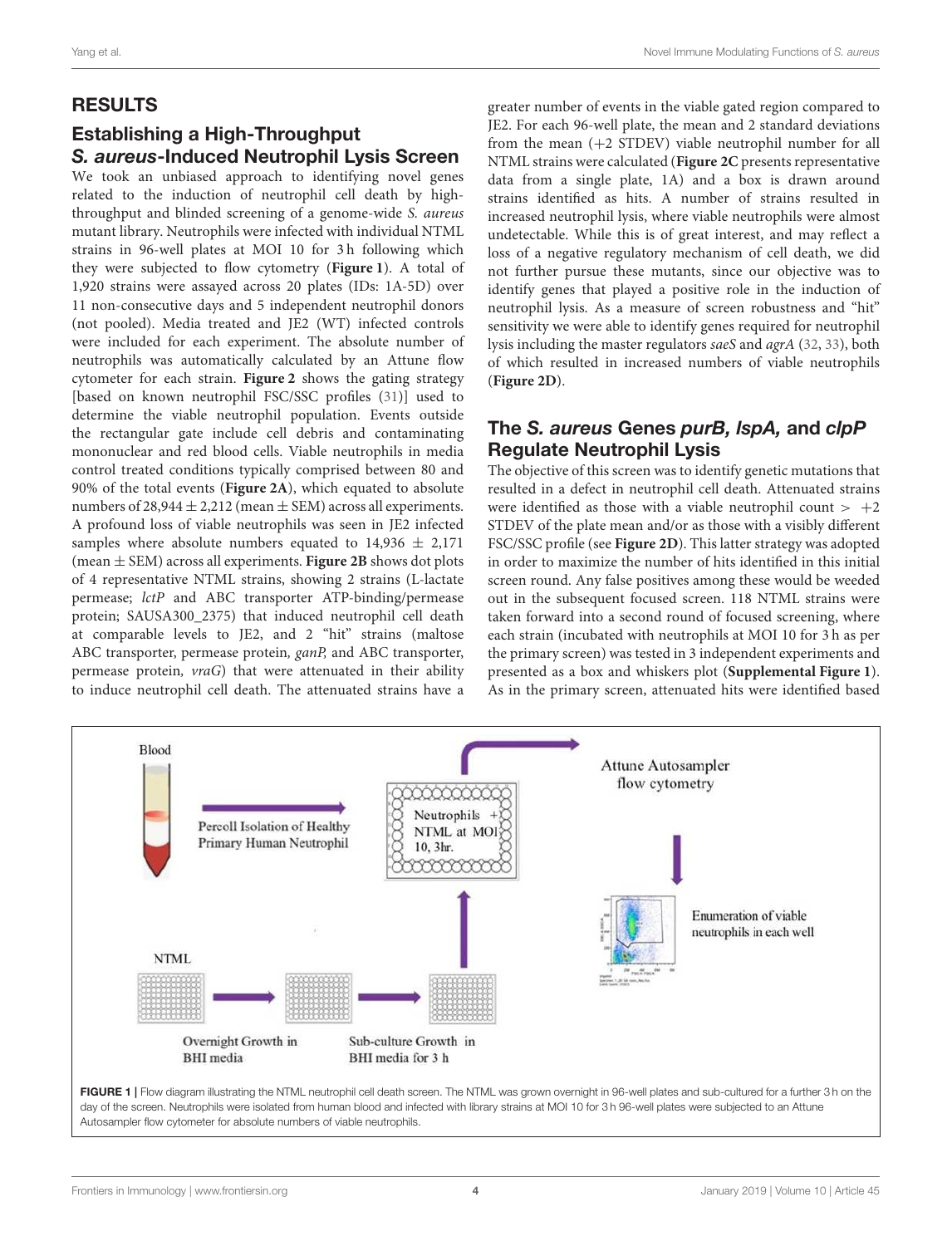#### RESULTS

## Establishing a High-Throughput *S. aureus*-Induced Neutrophil Lysis Screen

We took an unbiased approach to identifying novel genes related to the induction of neutrophil cell death by highthroughput and blinded screening of a genome-wide S. aureus mutant library. Neutrophils were infected with individual NTML strains in 96-well plates at MOI 10 for 3 h following which they were subjected to flow cytometry (**[Figure 1](#page-3-0)**). A total of 1,920 strains were assayed across 20 plates (IDs: 1A-5D) over 11 non-consecutive days and 5 independent neutrophil donors (not pooled). Media treated and JE2 (WT) infected controls were included for each experiment. The absolute number of neutrophils was automatically calculated by an Attune flow cytometer for each strain. **[Figure 2](#page-4-0)** shows the gating strategy [based on known neutrophil FSC/SSC profiles [\(31\)](#page-10-1)] used to determine the viable neutrophil population. Events outside the rectangular gate include cell debris and contaminating mononuclear and red blood cells. Viable neutrophils in media control treated conditions typically comprised between 80 and 90% of the total events (**[Figure 2A](#page-4-0)**), which equated to absolute numbers of  $28,944 \pm 2,212$  (mean  $\pm$  SEM) across all experiments. A profound loss of viable neutrophils was seen in JE2 infected samples where absolute numbers equated to  $14,936 \pm 2,171$ (mean ± SEM) across all experiments. **[Figure 2B](#page-4-0)** shows dot plots of 4 representative NTML strains, showing 2 strains (L-lactate permease; lctP and ABC transporter ATP-binding/permease protein; SAUSA300\_2375) that induced neutrophil cell death at comparable levels to JE2, and 2 "hit" strains (maltose ABC transporter, permease protein, ganP, and ABC transporter, permease protein, vraG) that were attenuated in their ability to induce neutrophil cell death. The attenuated strains have a greater number of events in the viable gated region compared to JE2. For each 96-well plate, the mean and 2 standard deviations from the mean (+2 STDEV) viable neutrophil number for all NTML strains were calculated (**[Figure 2C](#page-4-0)** presents representative data from a single plate, 1A) and a box is drawn around strains identified as hits. A number of strains resulted in increased neutrophil lysis, where viable neutrophils were almost undetectable. While this is of great interest, and may reflect a loss of a negative regulatory mechanism of cell death, we did not further pursue these mutants, since our objective was to identify genes that played a positive role in the induction of neutrophil lysis. As a measure of screen robustness and "hit" sensitivity we were able to identify genes required for neutrophil lysis including the master regulators saeS and agrA [\(32,](#page-10-2) [33\)](#page-10-3), both of which resulted in increased numbers of viable neutrophils (**[Figure 2D](#page-4-0)**).

#### The *S. aureus* Genes *purB, lspA,* and *clpP* Regulate Neutrophil Lysis

The objective of this screen was to identify genetic mutations that resulted in a defect in neutrophil cell death. Attenuated strains were identified as those with a viable neutrophil count  $> +2$ STDEV of the plate mean and/or as those with a visibly different FSC/SSC profile (see **[Figure 2D](#page-4-0)**). This latter strategy was adopted in order to maximize the number of hits identified in this initial screen round. Any false positives among these would be weeded out in the subsequent focused screen. 118 NTML strains were taken forward into a second round of focused screening, where each strain (incubated with neutrophils at MOI 10 for 3 h as per the primary screen) was tested in 3 independent experiments and presented as a box and whiskers plot (**[Supplemental Figure 1](#page-9-26)**). As in the primary screen, attenuated hits were identified based

<span id="page-4-0"></span>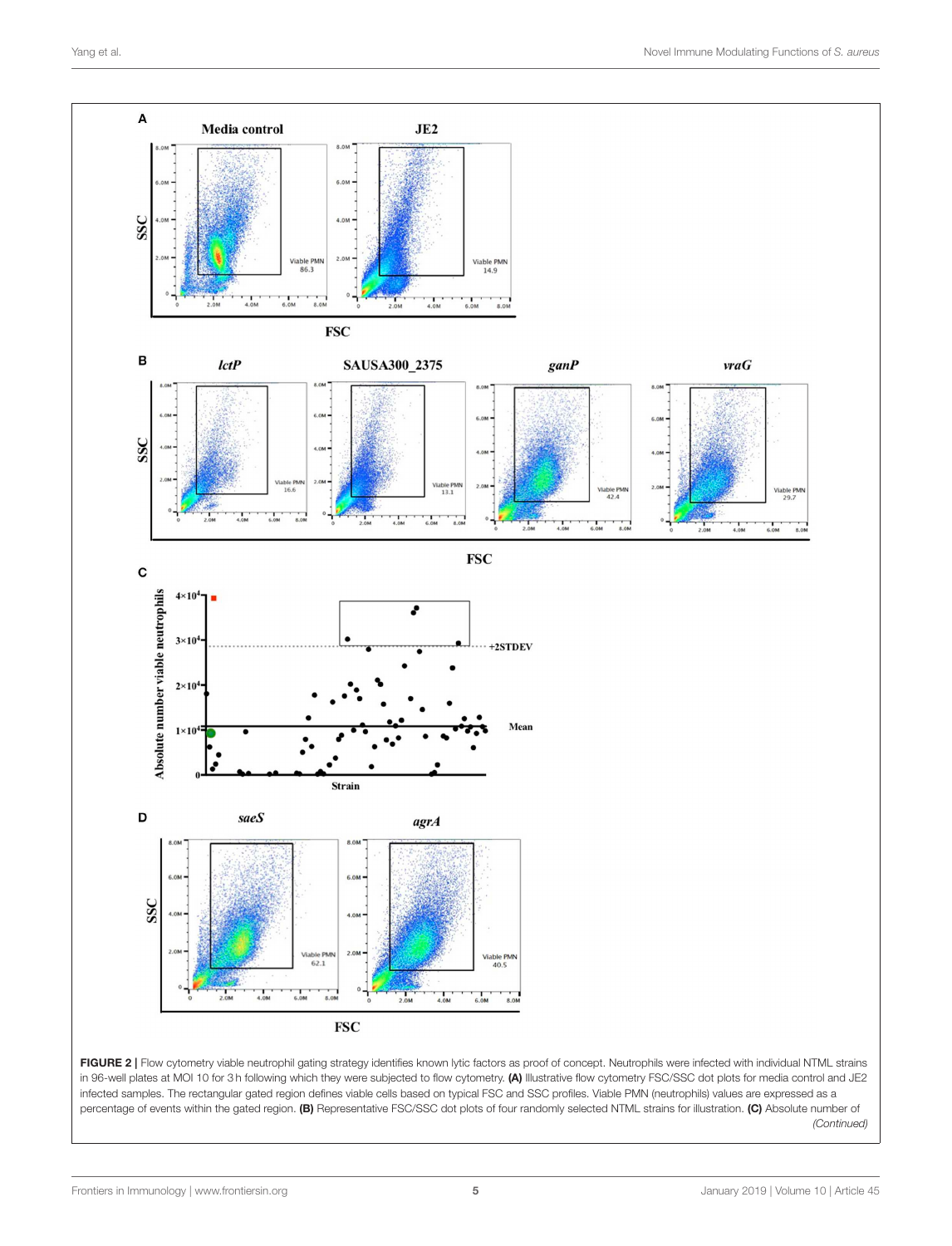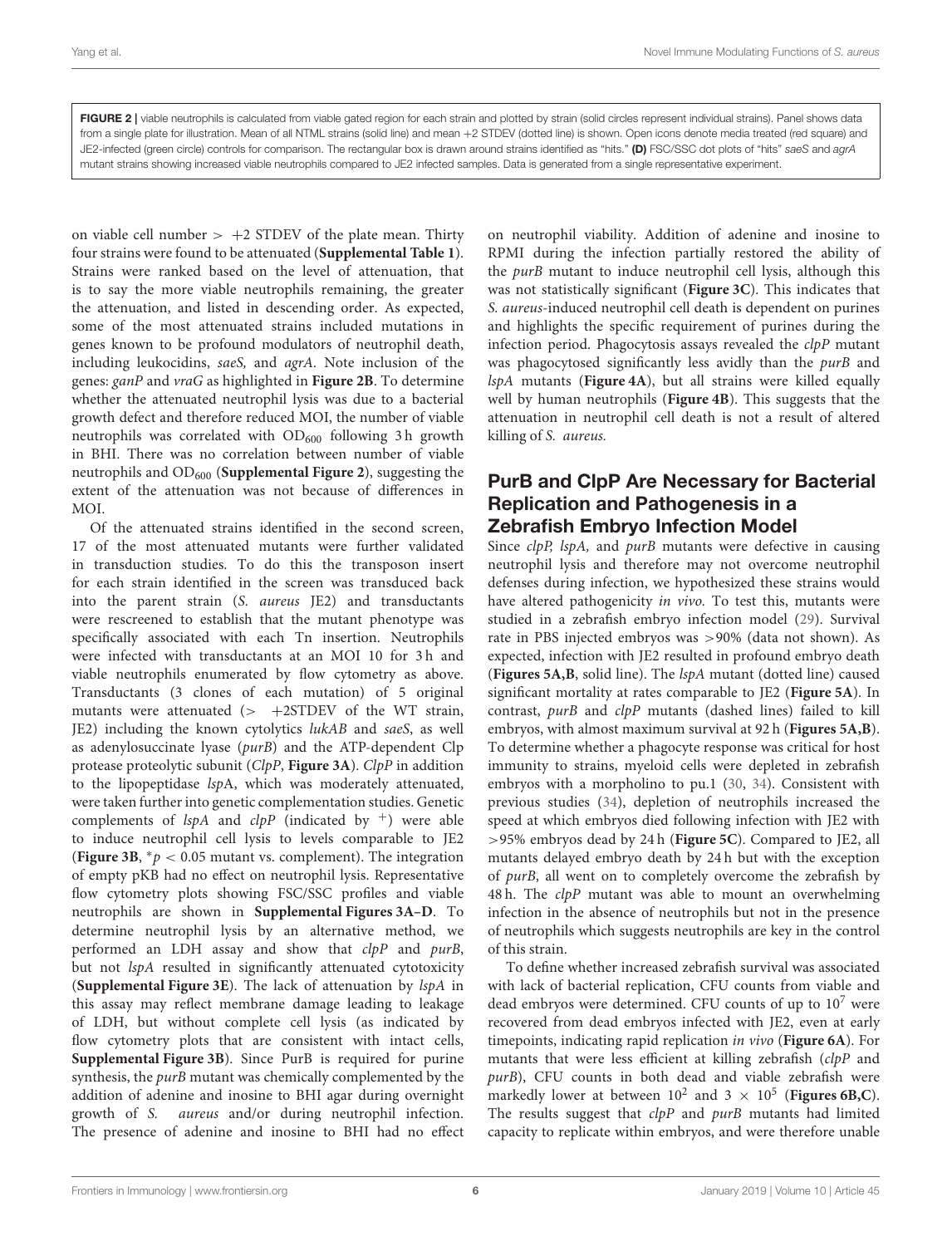FIGURE 2 | viable neutrophils is calculated from viable gated region for each strain and plotted by strain (solid circles represent individual strains). Panel shows data from a single plate for illustration. Mean of all NTML strains (solid line) and mean +2 STDEV (dotted line) is shown. Open icons denote media treated (red square) and JE2-infected (green circle) controls for comparison. The rectangular box is drawn around strains identified as "hits." (D) FSC/SSC dot plots of "hits" *saeS* and *agrA* mutant strains showing increased viable neutrophils compared to JE2 infected samples. Data is generated from a single representative experiment.

on viable cell number  $> +2$  STDEV of the plate mean. Thirty four strains were found to be attenuated (**[Supplemental Table 1](#page-9-26)**). Strains were ranked based on the level of attenuation, that is to say the more viable neutrophils remaining, the greater the attenuation, and listed in descending order. As expected, some of the most attenuated strains included mutations in genes known to be profound modulators of neutrophil death, including leukocidins, saeS, and agrA. Note inclusion of the genes: ganP and vraG as highlighted in **[Figure 2B](#page-4-0)**. To determine whether the attenuated neutrophil lysis was due to a bacterial growth defect and therefore reduced MOI, the number of viable neutrophils was correlated with  $OD_{600}$  following 3h growth in BHI. There was no correlation between number of viable neutrophils and OD<sub>600</sub> (**[Supplemental Figure 2](#page-9-26)**), suggesting the extent of the attenuation was not because of differences in MOI.

<span id="page-6-0"></span>Of the attenuated strains identified in the second screen, 17 of the most attenuated mutants were further validated in transduction studies. To do this the transposon insert for each strain identified in the screen was transduced back into the parent strain (S. aureus JE2) and transductants were rescreened to establish that the mutant phenotype was specifically associated with each Tn insertion. Neutrophils were infected with transductants at an MOI 10 for 3h and viable neutrophils enumerated by flow cytometry as above. Transductants (3 clones of each mutation) of 5 original mutants were attenuated  $(> +2STDEV)$  of the WT strain, JE2) including the known cytolytics lukAB and saeS, as well as adenylosuccinate lyase (purB) and the ATP-dependent Clp protease proteolytic subunit (ClpP, **[Figure 3A](#page-6-0)**). ClpP in addition to the lipopeptidase lspA, which was moderately attenuated, were taken further into genetic complementation studies. Genetic complements of  $\text{lspA}$  and  $\text{clpP}$  (indicated by  $^+$ ) were able to induce neutrophil cell lysis to levels comparable to JE2 (**[Figure 3B](#page-6-0)**,  $^*p$  < 0.05 mutant vs. complement). The integration of empty pKB had no effect on neutrophil lysis. Representative flow cytometry plots showing FSC/SSC profiles and viable neutrophils are shown in **[Supplemental Figures 3A–D](#page-9-26)**. To determine neutrophil lysis by an alternative method, we performed an LDH assay and show that clpP and purB, but not *lspA* resulted in significantly attenuated cytotoxicity (**[Supplemental Figure 3E](#page-9-26)**). The lack of attenuation by lspA in this assay may reflect membrane damage leading to leakage of LDH, but without complete cell lysis (as indicated by flow cytometry plots that are consistent with intact cells, **[Supplemental Figure 3B](#page-9-26)**). Since PurB is required for purine synthesis, the *purB* mutant was chemically complemented by the addition of adenine and inosine to BHI agar during overnight growth of S. aureus and/or during neutrophil infection. The presence of adenine and inosine to BHI had no effect on neutrophil viability. Addition of adenine and inosine to RPMI during the infection partially restored the ability of the purB mutant to induce neutrophil cell lysis, although this was not statistically significant (**[Figure 3C](#page-6-0)**). This indicates that S. aureus-induced neutrophil cell death is dependent on purines and highlights the specific requirement of purines during the infection period. Phagocytosis assays revealed the *clpP* mutant was phagocytosed significantly less avidly than the purB and lspA mutants (**[Figure 4A](#page-7-0)**), but all strains were killed equally well by human neutrophils (**[Figure 4B](#page-7-0)**). This suggests that the attenuation in neutrophil cell death is not a result of altered killing of S. aureus.

#### PurB and ClpP Are Necessary for Bacterial Replication and Pathogenesis in a Zebrafish Embryo Infection Model

Since *clpP*, *lspA*, and *purB* mutants were defective in causing neutrophil lysis and therefore may not overcome neutrophil defenses during infection, we hypothesized these strains would have altered pathogenicity *in vivo*. To test this, mutants were studied in a zebrafish embryo infection model [\(29\)](#page-9-25). Survival rate in PBS injected embryos was >90% (data not shown). As expected, infection with JE2 resulted in profound embryo death (**[Figures 5A,B](#page-7-1)**, solid line). The lspA mutant (dotted line) caused significant mortality at rates comparable to JE2 (**[Figure 5A](#page-7-1)**). In contrast, purB and clpP mutants (dashed lines) failed to kill embryos, with almost maximum survival at 92 h (**[Figures 5A,B](#page-7-1)**). To determine whether a phagocyte response was critical for host immunity to strains, myeloid cells were depleted in zebrafish embryos with a morpholino to pu.1 [\(30,](#page-10-0) [34\)](#page-10-4). Consistent with previous studies [\(34\)](#page-10-4), depletion of neutrophils increased the speed at which embryos died following infection with JE2 with >95% embryos dead by 24 h (**[Figure 5C](#page-7-1)**). Compared to JE2, all mutants delayed embryo death by 24 h but with the exception of purB, all went on to completely overcome the zebrafish by 48 h. The *clpP* mutant was able to mount an overwhelming infection in the absence of neutrophils but not in the presence of neutrophils which suggests neutrophils are key in the control of this strain.

To define whether increased zebrafish survival was associated with lack of bacterial replication, CFU counts from viable and dead embryos were determined. CFU counts of up to  $10<sup>7</sup>$  were recovered from dead embryos infected with JE2, even at early timepoints, indicating rapid replication in vivo (**[Figure 6A](#page-8-0)**). For mutants that were less efficient at killing zebrafish (clpP and purB), CFU counts in both dead and viable zebrafish were markedly lower at between  $10^2$  and  $3 \times 10^5$  ([Figures 6B,C](#page-8-0)). The results suggest that clpP and purB mutants had limited capacity to replicate within embryos, and were therefore unable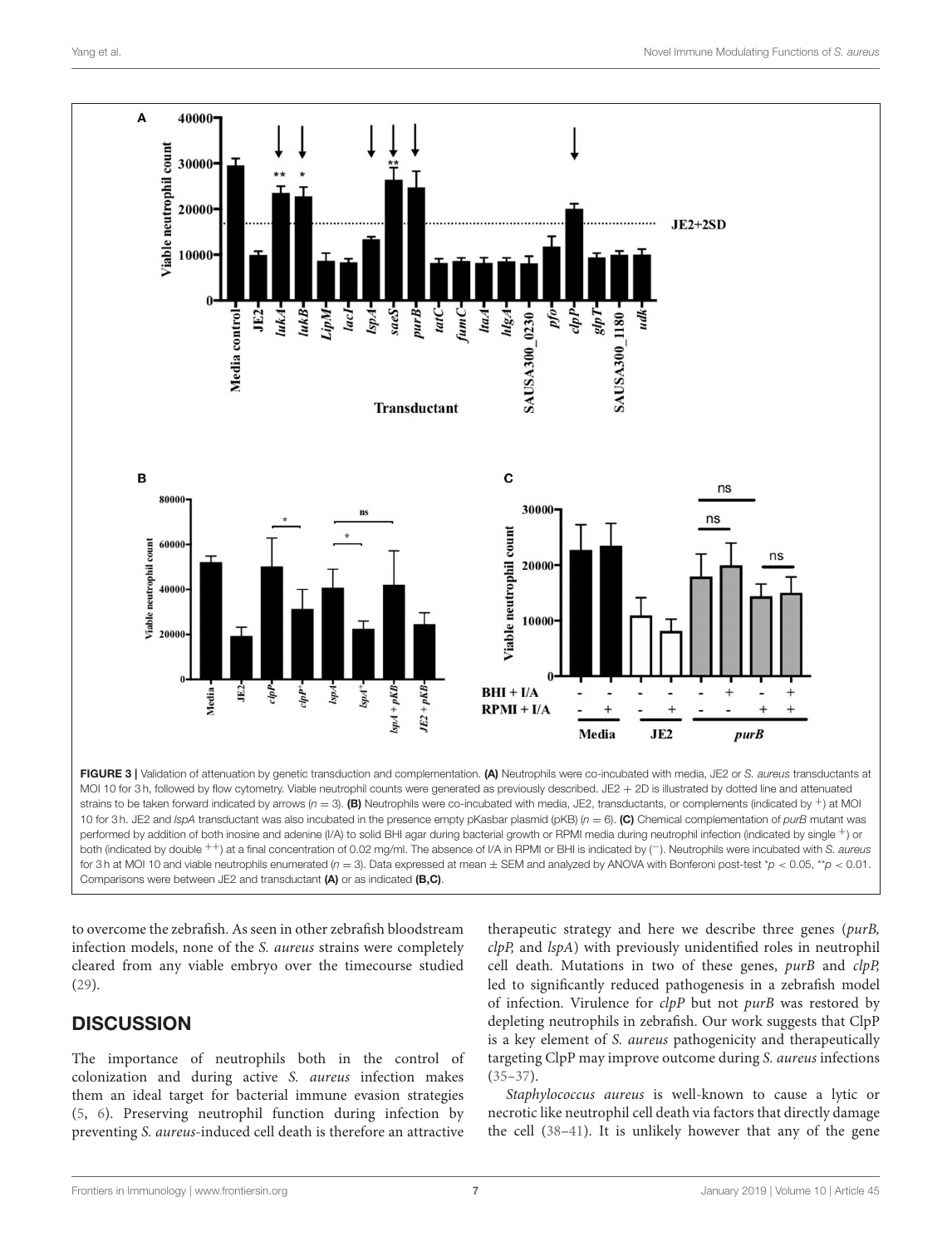

<span id="page-7-0"></span>10 for 3 h. JE2 and *lspA* transductant was also incubated in the presence empty pKasbar plasmid (pKB) (*n* = 6). (C) Chemical complementation of *purB* mutant was performed by addition of both inosine and adenine (I/A) to solid BHI agar during bacterial growth or RPMI media during neutrophil infection (indicated by single +) or both (indicated by double ++) at a final concentration of 0.02 mg/ml. The absence of I/A in RPMI or BHI is indicated by (−). Neutrophils were incubated with *S. aureus* for 3h at MOI 10 and viable neutrophils enumerated ( $n = 3$ ). Data expressed at mean  $\pm$  SEM and analyzed by ANOVA with Bonferoni post-test  $\gamma p < 0.05$ , \* $p < 0.01$ . Comparisons were between JE2 and transductant (A) or as indicated (B,C).

to overcome the zebrafish. As seen in other zebrafish bloodstream infection models, none of the S. aureus strains were completely cleared from any viable embryo over the timecourse studied [\(29\)](#page-9-25).

#### **DISCUSSION**

The importance of neutrophils both in the control of colonization and during active S. aureus infection makes them an ideal target for bacterial immune evasion strategies [\(5,](#page-9-4) [6\)](#page-9-5). Preserving neutrophil function during infection by preventing S. aureus-induced cell death is therefore an attractive

<span id="page-7-1"></span>therapeutic strategy and here we describe three genes (purB, clpP, and lspA) with previously unidentified roles in neutrophil cell death. Mutations in two of these genes, purB and clpP, led to significantly reduced pathogenesis in a zebrafish model of infection. Virulence for clpP but not purB was restored by depleting neutrophils in zebrafish. Our work suggests that ClpP is a key element of S. aureus pathogenicity and therapeutically targeting ClpP may improve outcome during S. aureus infections  $(35-37)$  $(35-37)$ .

Staphylococcus aureus is well-known to cause a lytic or necrotic like neutrophil cell death via factors that directly damage the cell [\(38–](#page-10-7)[41\)](#page-10-8). It is unlikely however that any of the gene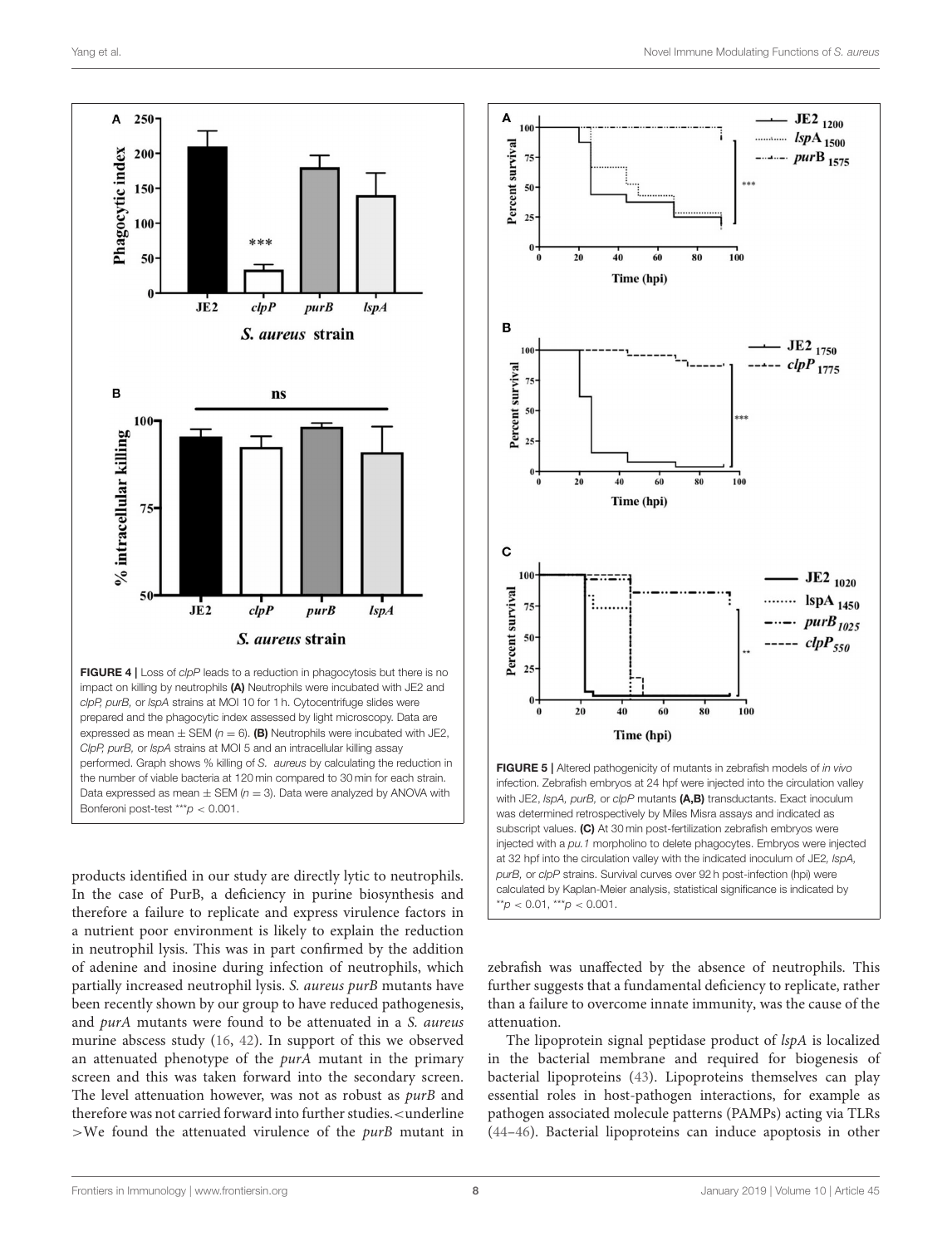

*ClpP, purB,* or *lspA* strains at MOI 5 and an intracellular killing assay performed. Graph shows % killing of *S. aureus* by calculating the reduction in the number of viable bacteria at 120 min compared to 30 min for each strain. Data expressed as mean  $\pm$  SEM ( $n = 3$ ). Data were analyzed by ANOVA with Bonferoni post-test \*\*\**p* < 0.001.

<span id="page-8-0"></span>products identified in our study are directly lytic to neutrophils. In the case of PurB, a deficiency in purine biosynthesis and therefore a failure to replicate and express virulence factors in a nutrient poor environment is likely to explain the reduction in neutrophil lysis. This was in part confirmed by the addition of adenine and inosine during infection of neutrophils, which partially increased neutrophil lysis. S. aureus purB mutants have been recently shown by our group to have reduced pathogenesis, and purA mutants were found to be attenuated in a S. aureus murine abscess study [\(16,](#page-9-27) [42\)](#page-10-9). In support of this we observed an attenuated phenotype of the *purA* mutant in the primary screen and this was taken forward into the secondary screen. The level attenuation however, was not as robust as purB and therefore was not carried forward into further studies.<underline  $>$ We found the attenuated virulence of the *purB* mutant in



zebrafish was unaffected by the absence of neutrophils. This further suggests that a fundamental deficiency to replicate, rather than a failure to overcome innate immunity, was the cause of the attenuation.

The lipoprotein signal peptidase product of lspA is localized in the bacterial membrane and required for biogenesis of bacterial lipoproteins [\(43\)](#page-10-10). Lipoproteins themselves can play essential roles in host-pathogen interactions, for example as pathogen associated molecule patterns (PAMPs) acting via TLRs [\(44](#page-10-11)[–46\)](#page-10-12). Bacterial lipoproteins can induce apoptosis in other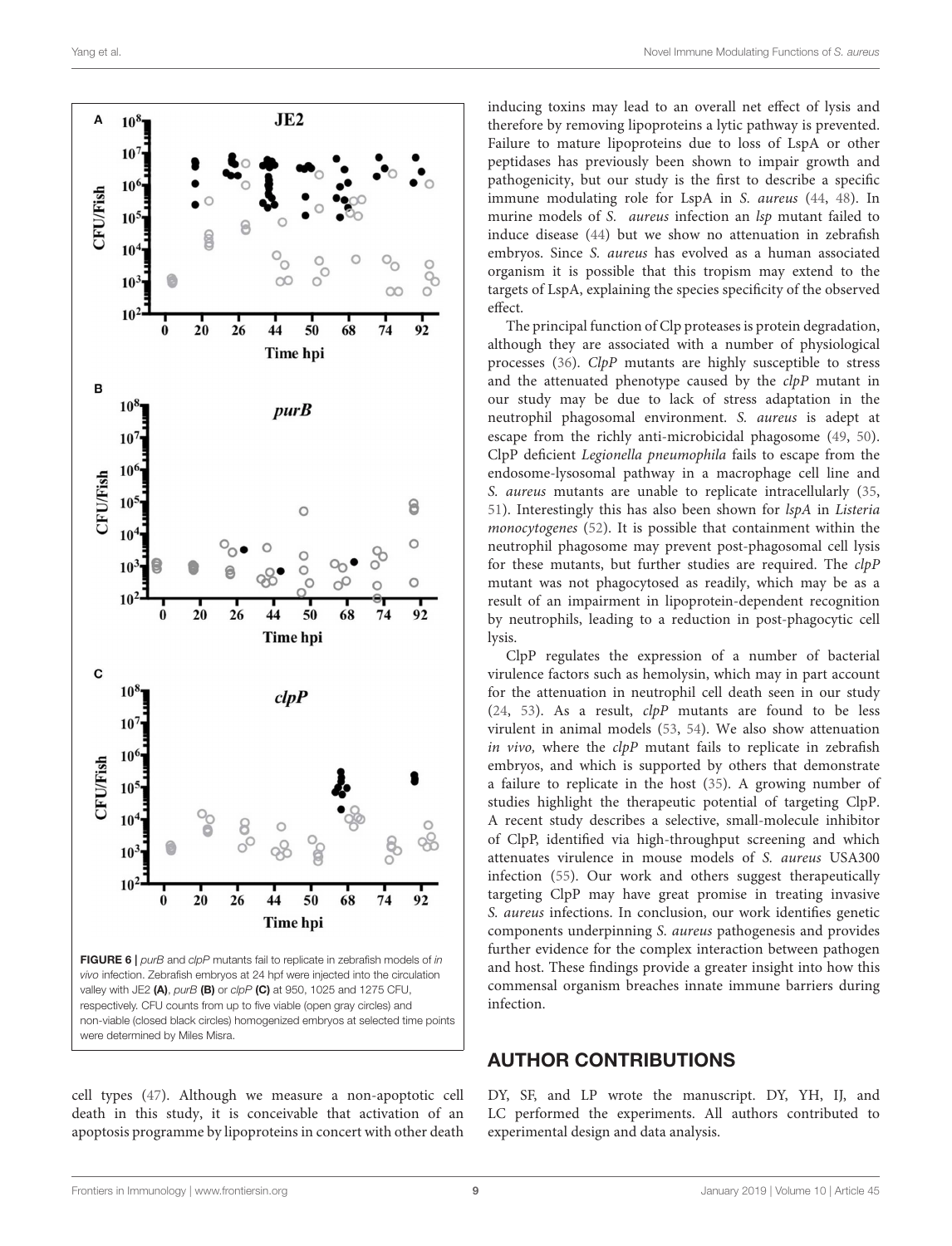<span id="page-9-3"></span><span id="page-9-2"></span><span id="page-9-1"></span><span id="page-9-0"></span>

<span id="page-9-12"></span><span id="page-9-11"></span><span id="page-9-10"></span><span id="page-9-9"></span><span id="page-9-8"></span><span id="page-9-7"></span>cell types [\(47\)](#page-10-13). Although we measure a non-apoptotic cell death in this study, it is conceivable that activation of an apoptosis programme by lipoproteins in concert with other death inducing toxins may lead to an overall net effect of lysis and therefore by removing lipoproteins a lytic pathway is prevented. Failure to mature lipoproteins due to loss of LspA or other peptidases has previously been shown to impair growth and pathogenicity, but our study is the first to describe a specific immune modulating role for LspA in S. aureus [\(44,](#page-10-11) [48\)](#page-10-14). In murine models of S. *aureus* infection an *lsp* mutant failed to induce disease [\(44\)](#page-10-11) but we show no attenuation in zebrafish embryos. Since S. aureus has evolved as a human associated organism it is possible that this tropism may extend to the targets of LspA, explaining the species specificity of the observed effect.

<span id="page-9-27"></span><span id="page-9-26"></span><span id="page-9-13"></span>The principal function of Clp proteases is protein degradation, although they are associated with a number of physiological processes [\(36\)](#page-10-15). ClpP mutants are highly susceptible to stress and the attenuated phenotype caused by the  $clpP$  mutant in our study may be due to lack of stress adaptation in the neutrophil phagosomal environment. S. aureus is adept at escape from the richly anti-microbicidal phagosome [\(49,](#page-10-16) [50\)](#page-10-17). ClpP deficient Legionella pneumophila fails to escape from the endosome-lysosomal pathway in a macrophage cell line and S. aureus mutants are unable to replicate intracellularly [\(35,](#page-10-5) [51\)](#page-10-18). Interestingly this has also been shown for lspA in Listeria monocytogenes [\(52\)](#page-10-19). It is possible that containment within the neutrophil phagosome may prevent post-phagosomal cell lysis for these mutants, but further studies are required. The clpP mutant was not phagocytosed as readily, which may be as a result of an impairment in lipoprotein-dependent recognition by neutrophils, leading to a reduction in post-phagocytic cell lysis.

<span id="page-9-20"></span><span id="page-9-19"></span><span id="page-9-18"></span><span id="page-9-17"></span><span id="page-9-16"></span><span id="page-9-15"></span><span id="page-9-14"></span><span id="page-9-6"></span><span id="page-9-5"></span><span id="page-9-4"></span>ClpP regulates the expression of a number of bacterial virulence factors such as hemolysin, which may in part account for the attenuation in neutrophil cell death seen in our study [\(24,](#page-9-20) [53\)](#page-10-20). As a result,  $clpP$  mutants are found to be less virulent in animal models [\(53,](#page-10-20) [54\)](#page-10-21). We also show attenuation in vivo, where the  $clpP$  mutant fails to replicate in zebrafish embryos, and which is supported by others that demonstrate a failure to replicate in the host [\(35\)](#page-10-5). A growing number of studies highlight the therapeutic potential of targeting ClpP. A recent study describes a selective, small-molecule inhibitor of ClpP, identified via high-throughput screening and which attenuates virulence in mouse models of S. aureus USA300 infection [\(55\)](#page-10-22). Our work and others suggest therapeutically targeting ClpP may have great promise in treating invasive S. aureus infections. In conclusion, our work identifies genetic components underpinning S. aureus pathogenesis and provides further evidence for the complex interaction between pathogen and host. These findings provide a greater insight into how this commensal organism breaches innate immune barriers during infection.

#### <span id="page-9-25"></span><span id="page-9-24"></span><span id="page-9-23"></span><span id="page-9-22"></span><span id="page-9-21"></span>AUTHOR CONTRIBUTIONS

DY, SF, and LP wrote the manuscript. DY, YH, IJ, and LC performed the experiments. All authors contributed to experimental design and data analysis.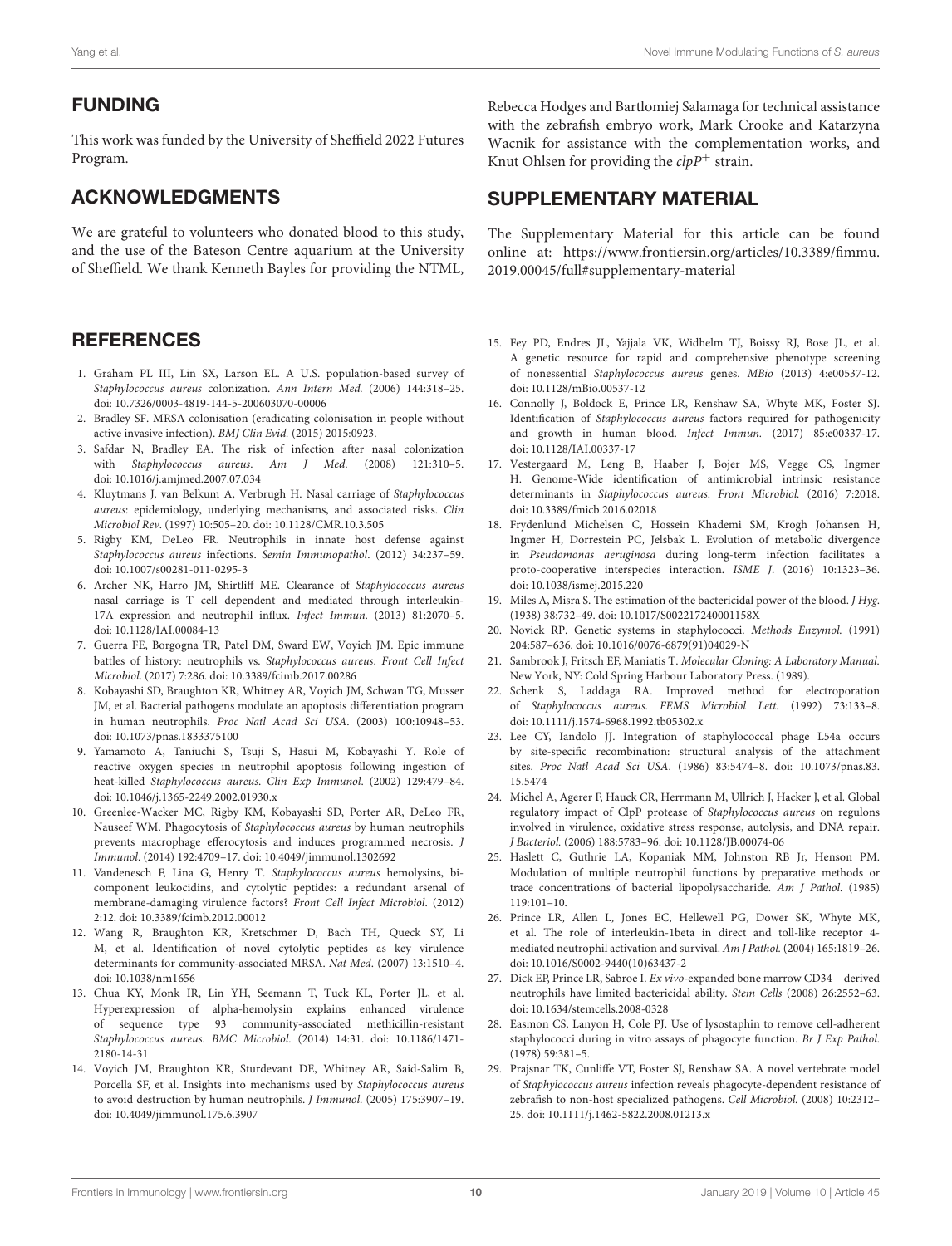#### <span id="page-10-0"></span>FUNDING

<span id="page-10-1"></span>This work was funded by the University of Sheffield 2022 Futures Program.

#### <span id="page-10-2"></span>ACKNOWLEDGMENTS

<span id="page-10-3"></span>We are grateful to volunteers who donated blood to this study, and the use of the Bateson Centre aquarium at the University of Sheffield. We thank Kenneth Bayles for providing the NTML,

#### <span id="page-10-4"></span>**REFERENCES**

- <span id="page-10-5"></span>1. Graham PL III, Lin SX, Larson EL. A U.S. population-based survey of Staphylococcus aureus colonization. Ann Intern Med. (2006) 144:318–25. doi: [10.7326/0003-4819-144-5-200603070-00006](https://doi.org/10.7326/0003-4819-144-5-200603070-00006)
- <span id="page-10-15"></span>2. Bradley SF. MRSA colonisation (eradicating colonisation in people without active invasive infection). BMJ Clin Evid. (2015) 2015:0923.
- <span id="page-10-6"></span>3. Safdar N, Bradley EA. The risk of infection after nasal colonization with Staphylococcus aureus. Am J Med. (2008) 121:310–5. doi: [10.1016/j.amjmed.2007.07.034](https://doi.org/10.1016/j.amjmed.2007.07.034)
- 4. Kluytmans J, van Belkum A, Verbrugh H. Nasal carriage of Staphylococcus aureus: epidemiology, underlying mechanisms, and associated risks. Clin Microbiol Rev. (1997) 10:505–20. doi: [10.1128/CMR.10.3.505](https://doi.org/10.1128/CMR.10.3.505)
- <span id="page-10-7"></span>5. Rigby KM, DeLeo FR. Neutrophils in innate host defense against Staphylococcus aureus infections. Semin Immunopathol. (2012) 34:237–59. doi: [10.1007/s00281-011-0295-3](https://doi.org/10.1007/s00281-011-0295-3)
- 6. Archer NK, Harro JM, Shirtliff ME. Clearance of Staphylococcus aureus nasal carriage is T cell dependent and mediated through interleukin-17A expression and neutrophil influx. Infect Immun. (2013) 81:2070–5. doi: [10.1128/IAI.00084-13](https://doi.org/10.1128/IAI.00084-13)
- 7. Guerra FE, Borgogna TR, Patel DM, Sward EW, Voyich JM. Epic immune battles of history: neutrophils vs. Staphylococcus aureus. Front Cell Infect Microbiol. (2017) 7:286. doi: [10.3389/fcimb.2017.00286](https://doi.org/10.3389/fcimb.2017.00286)
- <span id="page-10-8"></span>8. Kobayashi SD, Braughton KR, Whitney AR, Voyich JM, Schwan TG, Musser JM, et al. Bacterial pathogens modulate an apoptosis differentiation program in human neutrophils. Proc Natl Acad Sci USA. (2003) 100:10948–53. doi: [10.1073/pnas.1833375100](https://doi.org/10.1073/pnas.1833375100)
- <span id="page-10-9"></span>9. Yamamoto A, Taniuchi S, Tsuji S, Hasui M, Kobayashi Y. Role of reactive oxygen species in neutrophil apoptosis following ingestion of heat-killed Staphylococcus aureus. Clin Exp Immunol. (2002) 129:479–84. doi: [10.1046/j.1365-2249.2002.01930.x](https://doi.org/10.1046/j.1365-2249.2002.01930.x)
- <span id="page-10-11"></span><span id="page-10-10"></span>10. Greenlee-Wacker MC, Rigby KM, Kobayashi SD, Porter AR, DeLeo FR, Nauseef WM. Phagocytosis of Staphylococcus aureus by human neutrophils prevents macrophage efferocytosis and induces programmed necrosis. J Immunol. (2014) 192:4709–17. doi: [10.4049/jimmunol.1302692](https://doi.org/10.4049/jimmunol.1302692)
- 11. Vandenesch F, Lina G, Henry T. Staphylococcus aureus hemolysins, bicomponent leukocidins, and cytolytic peptides: a redundant arsenal of membrane-damaging virulence factors? Front Cell Infect Microbiol. (2012) 2:12. doi: [10.3389/fcimb.2012.00012](https://doi.org/10.3389/fcimb.2012.00012)
- 12. Wang R, Braughton KR, Kretschmer D, Bach TH, Queck SY, Li M, et al. Identification of novel cytolytic peptides as key virulence determinants for community-associated MRSA. Nat Med. (2007) 13:1510–4. doi: [10.1038/nm1656](https://doi.org/10.1038/nm1656)
- 13. Chua KY, Monk IR, Lin YH, Seemann T, Tuck KL, Porter JL, et al. Hyperexpression of alpha-hemolysin explains enhanced virulence of sequence type 93 community-associated methicillin-resistant Staphylococcus aureus. BMC Microbiol[. \(2014\) 14:31. doi: 10.1186/1471-](https://doi.org/10.1186/1471-2180-14-31) 2180-14-31
- 14. Voyich JM, Braughton KR, Sturdevant DE, Whitney AR, Said-Salim B, Porcella SF, et al. Insights into mechanisms used by Staphylococcus aureus to avoid destruction by human neutrophils. J Immunol. (2005) 175:3907–19. doi: [10.4049/jimmunol.175.6.3907](https://doi.org/10.4049/jimmunol.175.6.3907)

Rebecca Hodges and Bartlomiej Salamaga for technical assistance with the zebrafish embryo work, Mark Crooke and Katarzyna Wacnik for assistance with the complementation works, and Knut Ohlsen for providing the  $clpP^+$  strain.

#### <span id="page-10-13"></span><span id="page-10-12"></span>SUPPLEMENTARY MATERIAL

<span id="page-10-14"></span>The Supplementary Material for this article can be found [online at: https://www.frontiersin.org/articles/10.3389/fimmu.](https://www.frontiersin.org/articles/10.3389/fimmu.2019.00045/full#supplementary-material) 2019.00045/full#supplementary-material

- <span id="page-10-16"></span>15. Fey PD, Endres JL, Yajjala VK, Widhelm TJ, Boissy RJ, Bose JL, et al. A genetic resource for rapid and comprehensive phenotype screening of nonessential Staphylococcus aureus genes. MBio (2013) 4:e00537-12. doi: [10.1128/mBio.00537-12](https://doi.org/10.1128/mBio.00537-12)
- <span id="page-10-17"></span>16. Connolly J, Boldock E, Prince LR, Renshaw SA, Whyte MK, Foster SJ. Identification of Staphylococcus aureus factors required for pathogenicity and growth in human blood. Infect Immun. (2017) 85:e00337-17. doi: [10.1128/IAI.00337-17](https://doi.org/10.1128/IAI.00337-17)
- <span id="page-10-19"></span><span id="page-10-18"></span>17. Vestergaard M, Leng B, Haaber J, Bojer MS, Vegge CS, Ingmer H. Genome-Wide identification of antimicrobial intrinsic resistance determinants in Staphylococcus aureus. Front Microbiol. (2016) 7:2018. doi: [10.3389/fmicb.2016.02018](https://doi.org/10.3389/fmicb.2016.02018)
- <span id="page-10-20"></span>18. Frydenlund Michelsen C, Hossein Khademi SM, Krogh Johansen H, Ingmer H, Dorrestein PC, Jelsbak L. Evolution of metabolic divergence in Pseudomonas aeruginosa during long-term infection facilitates a proto-cooperative interspecies interaction. ISME J. (2016) 10:1323–36. doi: [10.1038/ismej.2015.220](https://doi.org/10.1038/ismej.2015.220)
- <span id="page-10-21"></span>19. Miles A, Misra S. The estimation of the bactericidal power of the blood. J Hyg. (1938) 38:732–49. doi: [10.1017/S002217240001158X](https://doi.org/10.1017/S002217240001158X)
- 20. Novick RP. Genetic systems in staphylococci. Methods Enzymol. (1991) 204:587–636. doi: [10.1016/0076-6879\(91\)04029-N](https://doi.org/10.1016/0076-6879(91)04029-N)
- <span id="page-10-22"></span>21. Sambrook J, Fritsch EF, Maniatis T. Molecular Cloning: A Laboratory Manual. New York, NY: Cold Spring Harbour Laboratory Press. (1989).
- 22. Schenk S, Laddaga RA. Improved method for electroporation of Staphylococcus aureus. FEMS Microbiol Lett. (1992) 73:133–8. doi: [10.1111/j.1574-6968.1992.tb05302.x](https://doi.org/10.1111/j.1574-6968.1992.tb05302.x)
- 23. Lee CY, Iandolo JJ. Integration of staphylococcal phage L54a occurs by site-specific recombination: structural analysis of the attachment sites. Proc Natl Acad Sci USA[. \(1986\) 83:5474–8. doi: 10.1073/pnas.83.](https://doi.org/10.1073/pnas.83.15.5474) 15.5474
- 24. Michel A, Agerer F, Hauck CR, Herrmann M, Ullrich J, Hacker J, et al. Global regulatory impact of ClpP protease of Staphylococcus aureus on regulons involved in virulence, oxidative stress response, autolysis, and DNA repair. J Bacteriol. (2006) 188:5783–96. doi: [10.1128/JB.00074-06](https://doi.org/10.1128/JB.00074-06)
- 25. Haslett C, Guthrie LA, Kopaniak MM, Johnston RB Jr, Henson PM. Modulation of multiple neutrophil functions by preparative methods or trace concentrations of bacterial lipopolysaccharide. Am J Pathol. (1985) 119:101–10.
- 26. Prince LR, Allen L, Jones EC, Hellewell PG, Dower SK, Whyte MK, et al. The role of interleukin-1beta in direct and toll-like receptor 4 mediated neutrophil activation and survival. Am J Pathol. (2004) 165:1819–26. doi: [10.1016/S0002-9440\(10\)63437-2](https://doi.org/10.1016/S0002-9440(10)63437-2)
- 27. Dick EP, Prince LR, Sabroe I. Ex vivo-expanded bone marrow CD34+ derived neutrophils have limited bactericidal ability. Stem Cells (2008) 26:2552–63. doi: [10.1634/stemcells.2008-0328](https://doi.org/10.1634/stemcells.2008-0328)
- 28. Easmon CS, Lanyon H, Cole PJ. Use of lysostaphin to remove cell-adherent staphylococci during in vitro assays of phagocyte function. Br J Exp Pathol. (1978) 59:381–5.
- 29. Prajsnar TK, Cunliffe VT, Foster SJ, Renshaw SA. A novel vertebrate model of Staphylococcus aureus infection reveals phagocyte-dependent resistance of zebrafish to non-host specialized pathogens. Cell Microbiol. (2008) 10:2312– 25. doi: [10.1111/j.1462-5822.2008.01213.x](https://doi.org/10.1111/j.1462-5822.2008.01213.x)